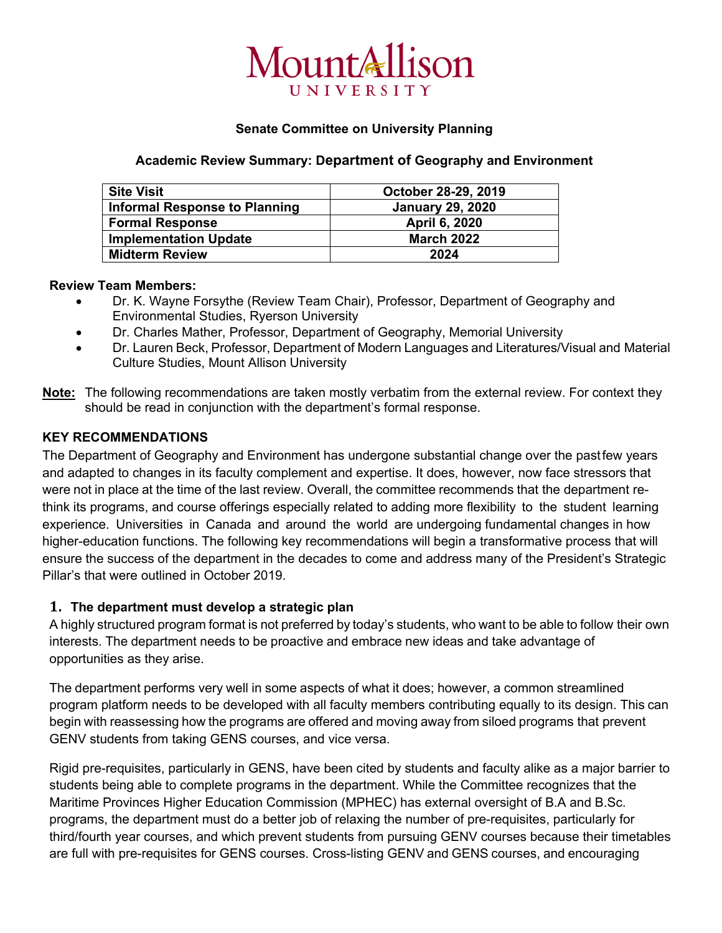# MountAllison

## **Senate Committee on University Planning**

## **Academic Review Summary: Department of Geography and Environment**

| <b>Site Visit</b>             | October 28-29, 2019     |
|-------------------------------|-------------------------|
| Informal Response to Planning | <b>January 29, 2020</b> |
| <b>Formal Response</b>        | April 6, 2020           |
| <b>Implementation Update</b>  | <b>March 2022</b>       |
| <b>Midterm Review</b>         | 2024                    |

# **Review Team Members:**

- Dr. K. Wayne Forsythe (Review Team Chair), Professor, Department of Geography and Environmental Studies, Ryerson University
- Dr. Charles Mather, Professor, Department of Geography, Memorial University
- Dr. Lauren Beck, Professor, Department of Modern Languages and Literatures/Visual and Material Culture Studies, Mount Allison University
- **Note:** The following recommendations are taken mostly verbatim from the external review. For context they should be read in conjunction with the department's formal response.

## **KEY RECOMMENDATIONS**

The Department of Geography and Environment has undergone substantial change over the pastfew years and adapted to changes in its faculty complement and expertise. It does, however, now face stressors that were not in place at the time of the last review. Overall, the committee recommends that the department rethink its programs, and course offerings especially related to adding more flexibility to the student learning experience. Universities in Canada and around the world are undergoing fundamental changes in how higher-education functions. The following key recommendations will begin a transformative process that will ensure the success of the department in the decades to come and address many of the President's Strategic Pillar's that were outlined in October 2019.

## **1. The department must develop a strategic plan**

A highly structured program format is not preferred by today's students, who want to be able to follow their own interests. The department needs to be proactive and embrace new ideas and take advantage of opportunities as they arise.

The department performs very well in some aspects of what it does; however, a common streamlined program platform needs to be developed with all faculty members contributing equally to its design. This can begin with reassessing how the programs are offered and moving away from siloed programs that prevent GENV students from taking GENS courses, and vice versa.

Rigid pre-requisites, particularly in GENS, have been cited by students and faculty alike as a major barrier to students being able to complete programs in the department. While the Committee recognizes that the Maritime Provinces Higher Education Commission (MPHEC) has external oversight of B.A and B.Sc. programs, the department must do a better job of relaxing the number of pre-requisites, particularly for third/fourth year courses, and which prevent students from pursuing GENV courses because their timetables are full with pre-requisites for GENS courses. Cross-listing GENV and GENS courses, and encouraging